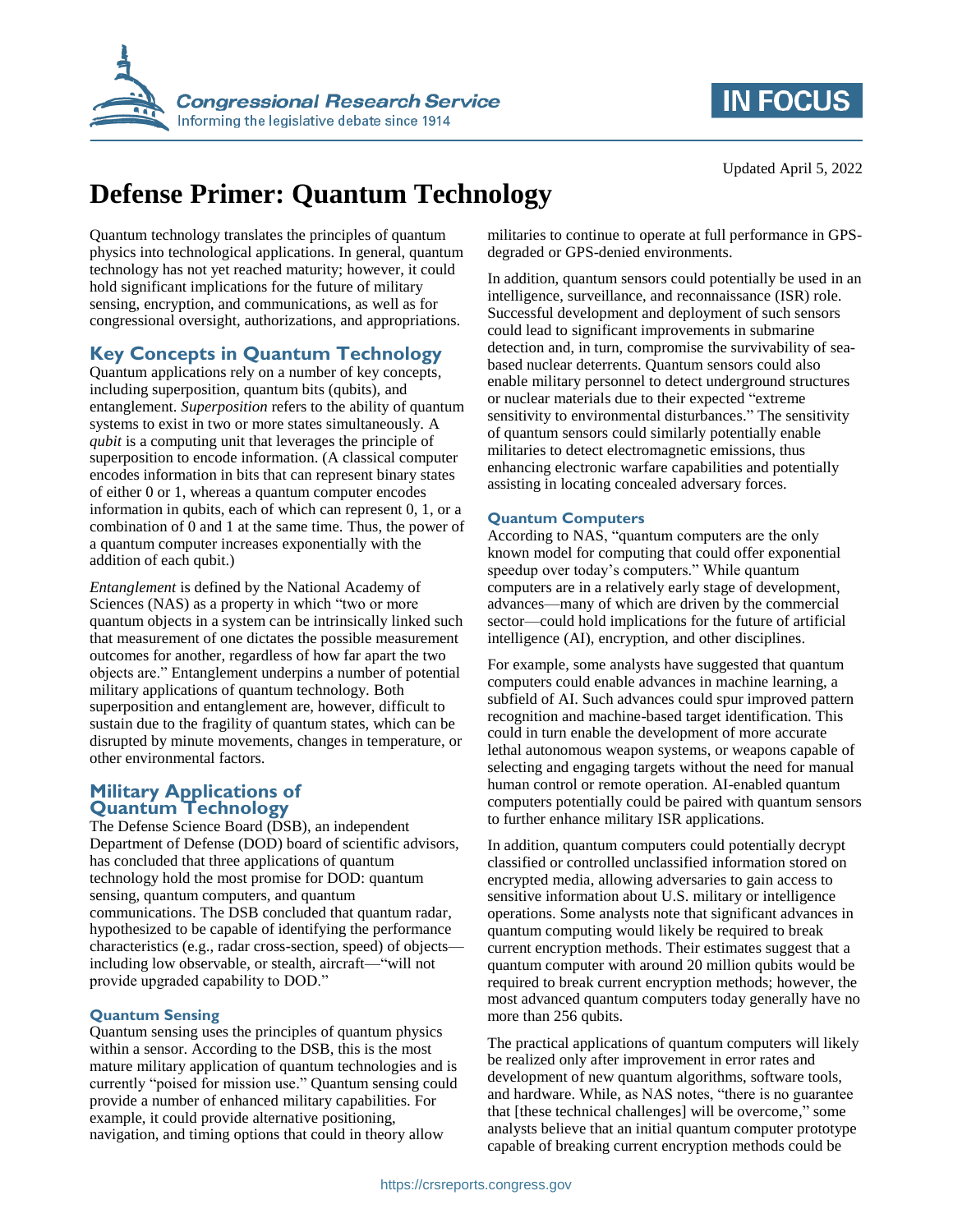



# **Defense Primer: Quantum Technology**

Quantum technology translates the principles of quantum physics into technological applications. In general, quantum technology has not yet reached maturity; however, it could hold significant implications for the future of military sensing, encryption, and communications, as well as for congressional oversight, authorizations, and appropriations.

## **Key Concepts in Quantum Technology**

Quantum applications rely on a number of key concepts, including superposition, quantum bits (qubits), and entanglement. *Superposition* refers to the ability of quantum systems to exist in two or more states simultaneously. A *qubit* is a computing unit that leverages the principle of superposition to encode information. (A classical computer encodes information in bits that can represent binary states of either 0 or 1, whereas a quantum computer encodes information in qubits, each of which can represent 0, 1, or a combination of 0 and 1 at the same time. Thus, the power of a quantum computer increases exponentially with the addition of each qubit.)

*Entanglement* is defined by the National Academy of Sciences (NAS) as a property in which "two or more quantum objects in a system can be intrinsically linked such that measurement of one dictates the possible measurement outcomes for another, regardless of how far apart the two objects are." Entanglement underpins a number of potential military applications of quantum technology. Both superposition and entanglement are, however, difficult to sustain due to the fragility of quantum states, which can be disrupted by minute movements, changes in temperature, or other environmental factors.

## **Military Applications of Quantum Technology**

The Defense Science Board (DSB), an independent Department of Defense (DOD) board of scientific advisors, has concluded that three applications of quantum technology hold the most promise for DOD: quantum sensing, quantum computers, and quantum communications. The DSB concluded that quantum radar, hypothesized to be capable of identifying the performance characteristics (e.g., radar cross-section, speed) of objects including low observable, or stealth, aircraft—"will not provide upgraded capability to DOD."

## **Quantum Sensing**

Quantum sensing uses the principles of quantum physics within a sensor. According to the DSB, this is the most mature military application of quantum technologies and is currently "poised for mission use." Quantum sensing could provide a number of enhanced military capabilities. For example, it could provide alternative positioning, navigation, and timing options that could in theory allow

militaries to continue to operate at full performance in GPSdegraded or GPS-denied environments.

In addition, quantum sensors could potentially be used in an intelligence, surveillance, and reconnaissance (ISR) role. Successful development and deployment of such sensors could lead to significant improvements in submarine detection and, in turn, compromise the survivability of seabased nuclear deterrents. Quantum sensors could also enable military personnel to detect underground structures or nuclear materials due to their expected "extreme sensitivity to environmental disturbances." The sensitivity of quantum sensors could similarly potentially enable militaries to detect electromagnetic emissions, thus enhancing electronic warfare capabilities and potentially assisting in locating concealed adversary forces.

#### **Quantum Computers**

According to NAS, "quantum computers are the only known model for computing that could offer exponential speedup over today's computers." While quantum computers are in a relatively early stage of development, advances—many of which are driven by the commercial sector—could hold implications for the future of artificial intelligence (AI), encryption, and other disciplines.

For example, some analysts have suggested that quantum computers could enable advances in machine learning, a subfield of AI. Such advances could spur improved pattern recognition and machine-based target identification. This could in turn enable the development of more accurate lethal autonomous weapon systems, or weapons capable of selecting and engaging targets without the need for manual human control or remote operation. AI-enabled quantum computers potentially could be paired with quantum sensors to further enhance military ISR applications.

In addition, quantum computers could potentially decrypt classified or controlled unclassified information stored on encrypted media, allowing adversaries to gain access to sensitive information about U.S. military or intelligence operations. Some analysts note that significant advances in quantum computing would likely be required to break current encryption methods. Their estimates suggest that a quantum computer with around 20 million qubits would be required to break current encryption methods; however, the most advanced quantum computers today generally have no more than 256 qubits.

The practical applications of quantum computers will likely be realized only after improvement in error rates and development of new quantum algorithms, software tools, and hardware. While, as NAS notes, "there is no guarantee that [these technical challenges] will be overcome," some analysts believe that an initial quantum computer prototype capable of breaking current encryption methods could be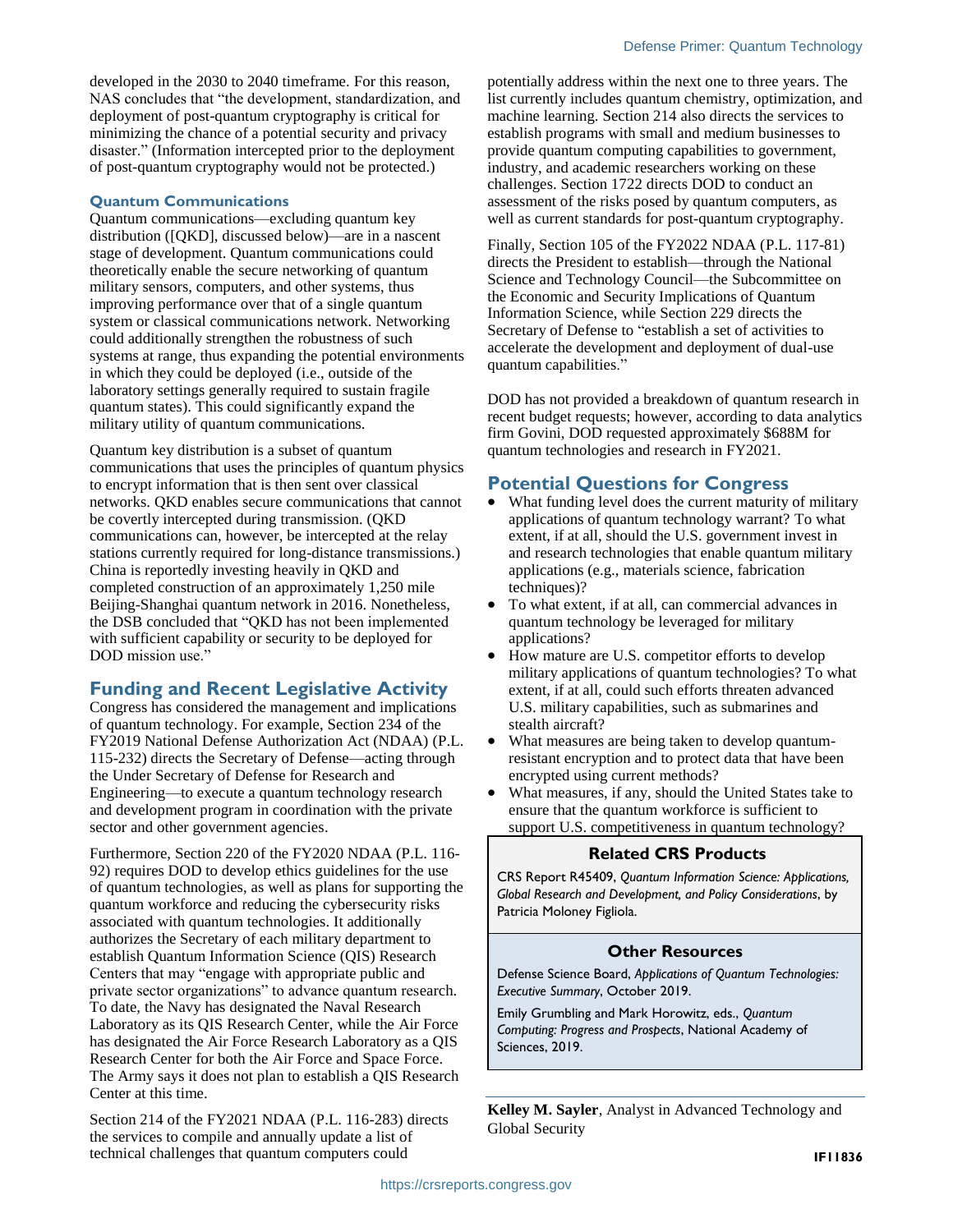developed in the 2030 to 2040 timeframe. For this reason, NAS concludes that "the development, standardization, and deployment of post-quantum cryptography is critical for minimizing the chance of a potential security and privacy disaster." (Information intercepted prior to the deployment of post-quantum cryptography would not be protected.)

#### **Quantum Communications**

Quantum communications—excluding quantum key distribution ([QKD], discussed below)—are in a nascent stage of development. Quantum communications could theoretically enable the secure networking of quantum military sensors, computers, and other systems, thus improving performance over that of a single quantum system or classical communications network. Networking could additionally strengthen the robustness of such systems at range, thus expanding the potential environments in which they could be deployed (i.e., outside of the laboratory settings generally required to sustain fragile quantum states). This could significantly expand the military utility of quantum communications.

Quantum key distribution is a subset of quantum communications that uses the principles of quantum physics to encrypt information that is then sent over classical networks. QKD enables secure communications that cannot be covertly intercepted during transmission. (QKD communications can, however, be intercepted at the relay stations currently required for long-distance transmissions.) China is reportedly investing heavily in QKD and completed construction of an approximately 1,250 mile Beijing-Shanghai quantum network in 2016. Nonetheless, the DSB concluded that "QKD has not been implemented with sufficient capability or security to be deployed for DOD mission use."

## **Funding and Recent Legislative Activity**

Congress has considered the management and implications of quantum technology. For example, Section 234 of the FY2019 National Defense Authorization Act (NDAA) (P.L. 115-232) directs the Secretary of Defense—acting through the Under Secretary of Defense for Research and Engineering—to execute a quantum technology research and development program in coordination with the private sector and other government agencies.

Furthermore, Section 220 of the FY2020 NDAA (P.L. 116- 92) requires DOD to develop ethics guidelines for the use of quantum technologies, as well as plans for supporting the quantum workforce and reducing the cybersecurity risks associated with quantum technologies. It additionally authorizes the Secretary of each military department to establish Quantum Information Science (QIS) Research Centers that may "engage with appropriate public and private sector organizations" to advance quantum research. To date, the Navy has designated the Naval Research Laboratory as its QIS Research Center, while the Air Force has designated the Air Force Research Laboratory as a QIS Research Center for both the Air Force and Space Force. The Army says it does not plan to establish a QIS Research Center at this time.

Section 214 of the FY2021 NDAA (P.L. 116-283) directs the services to compile and annually update a list of technical challenges that quantum computers could

potentially address within the next one to three years. The list currently includes quantum chemistry, optimization, and machine learning. Section 214 also directs the services to establish programs with small and medium businesses to provide quantum computing capabilities to government, industry, and academic researchers working on these challenges. Section 1722 directs DOD to conduct an assessment of the risks posed by quantum computers, as well as current standards for post-quantum cryptography.

Finally, Section 105 of the FY2022 NDAA (P.L. 117-81) directs the President to establish—through the National Science and Technology Council—the Subcommittee on the Economic and Security Implications of Quantum Information Science, while Section 229 directs the Secretary of Defense to "establish a set of activities to accelerate the development and deployment of dual-use quantum capabilities."

DOD has not provided a breakdown of quantum research in recent budget requests; however, according to data analytics firm Govini, DOD requested approximately \$688M for quantum technologies and research in FY2021.

## **Potential Questions for Congress**

- What funding level does the current maturity of military applications of quantum technology warrant? To what extent, if at all, should the U.S. government invest in and research technologies that enable quantum military applications (e.g., materials science, fabrication techniques)?
- To what extent, if at all, can commercial advances in quantum technology be leveraged for military applications?
- How mature are U.S. competitor efforts to develop military applications of quantum technologies? To what extent, if at all, could such efforts threaten advanced U.S. military capabilities, such as submarines and stealth aircraft?
- What measures are being taken to develop quantumresistant encryption and to protect data that have been encrypted using current methods?
- What measures, if any, should the United States take to ensure that the quantum workforce is sufficient to support U.S. competitiveness in quantum technology?

#### **Related CRS Products**

CRS Report R45409, *Quantum Information Science: Applications, Global Research and Development, and Policy Considerations*, by Patricia Moloney Figliola.

#### **Other Resources**

Defense Science Board, *Applications of Quantum Technologies: Executive Summary*, October 2019.

Emily Grumbling and Mark Horowitz, eds., *Quantum Computing: Progress and Prospects*, National Academy of Sciences, 2019.

**Kelley M. Sayler**, Analyst in Advanced Technology and Global Security